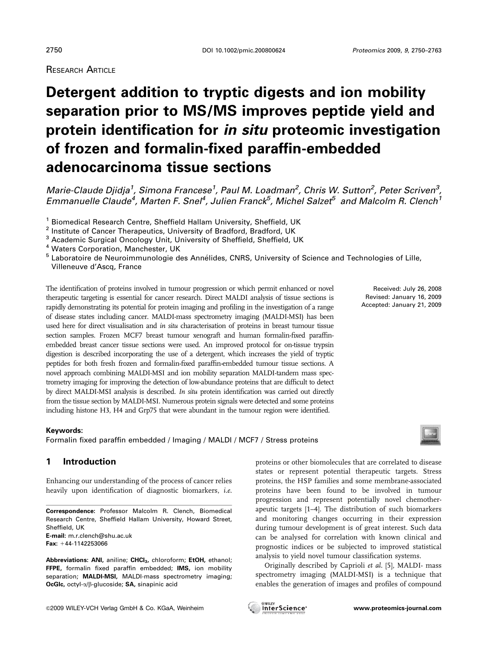RESEARCH ARTICLE

# **Detergent addition to tryptic digests and ion mobility separation prior to MS/MS improves peptide yield and protein identification for in situ proteomic investigation of frozen and formalin-fixed paraffin-embedded adenocarcinoma tissue sections**

*Marie-Claude Djidja<sup>1</sup>, Simona Francese<sup>1</sup>, Paul M. Loadman<sup>2</sup>, Chris W. Sutton<sup>2</sup>, Peter Scriven<sup>3</sup>, Emmanuelle Claude4 , Marten F. Snel<sup>4</sup> , Julien Franck<sup>5</sup> , Michel Salzet5 and Malcolm R. Clench1*

<sup>1</sup> Biomedical Research Centre, Sheffield Hallam University, Sheffield, UK

<sup>2</sup> Institute of Cancer Therapeutics, University of Bradford, Bradford, UK

<sup>3</sup> Academic Surgical Oncology Unit, University of Sheffield, Sheffield, UK

<sup>4</sup> Waters Corporation, Manchester, UK

<sup>5</sup> Laboratoire de Neuroimmunologie des Annélides, CNRS, University of Science and Technologies of Lille, Villeneuve d'Ascq, France

The identification of proteins involved in tumour progression or which permit enhanced or novel therapeutic targeting is essential for cancer research. Direct MALDI analysis of tissue sections is rapidly demonstrating its potential for protein imaging and profiling in the investigation of a range of disease states including cancer. MALDI-mass spectrometry imaging (MALDI-MSI) has been used here for direct visualisation and in situ characterisation of proteins in breast tumour tissue section samples. Frozen MCF7 breast tumour xenograft and human formalin-fixed paraffinembedded breast cancer tissue sections were used. An improved protocol for on-tissue trypsin digestion is described incorporating the use of a detergent, which increases the yield of tryptic peptides for both fresh frozen and formalin-fixed paraffin-embedded tumour tissue sections. A novel approach combining MALDI-MSI and ion mobility separation MALDI-tandem mass spectrometry imaging for improving the detection of low-abundance proteins that are difficult to detect by direct MALDI-MSI analysis is described. In situ protein identification was carried out directly from the tissue section by MALDI-MSI. Numerous protein signals were detected and some proteins including histone H3, H4 and Grp75 that were abundant in the tumour region were identified.

Received: July 26, 2008 Revised: January 16, 2009 Accepted: January 21, 2009

#### **Keywords:**

Formalin fixed paraffin embedded / Imaging / MALDI / MCF7 / Stress proteins

# **1 Introduction**

Enhancing our understanding of the process of cancer relies heavily upon identification of diagnostic biomarkers, i.e.

**Correspondence:** Professor Malcolm R. Clench, Biomedical Research Centre, Sheffield Hallam University, Howard Street, Sheffield, UK **E-mail:** m.r.clench@shu.ac.uk **Fax:** +44-1142253066

Abbreviations: ANI, aniline; CHCI<sub>3</sub>, chloroform; EtOH, ethanol; **FFPE,** formalin fixed paraffin embedded; **IMS,** ion mobility separation; **MALDI-MSI,** MALDI-mass spectrometry imaging; **OcGlc,** octyl-α/β-glucoside; **SA**, sinapinic acid

proteins or other biomolecules that are correlated to disease states or represent potential therapeutic targets. Stress proteins, the HSP families and some membrane-associated proteins have been found to be involved in tumour progression and represent potentially novel chemotherapeutic targets [1–4]. The distribution of such biomarkers and monitoring changes occurring in their expression during tumour development is of great interest. Such data can be analysed for correlation with known clinical and prognostic indices or be subjected to improved statistical analysis to yield novel tumour classification systems.

Originally described by Caprioli et al. [5], MALDI- mass spectrometry imaging (MALDI-MSI) is a technique that enables the generation of images and profiles of compound



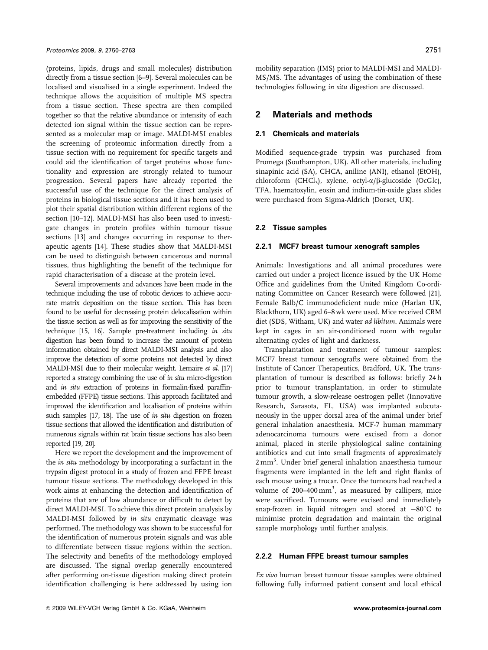(proteins, lipids, drugs and small molecules) distribution directly from a tissue section [6–9]. Several molecules can be localised and visualised in a single experiment. Indeed the technique allows the acquisition of multiple MS spectra from a tissue section. These spectra are then compiled together so that the relative abundance or intensity of each detected ion signal within the tissue section can be represented as a molecular map or image. MALDI-MSI enables the screening of proteomic information directly from a tissue section with no requirement for specific targets and could aid the identification of target proteins whose functionality and expression are strongly related to tumour progression. Several papers have already reported the successful use of the technique for the direct analysis of proteins in biological tissue sections and it has been used to plot their spatial distribution within different regions of the section [10–12]. MALDI-MSI has also been used to investigate changes in protein profiles within tumour tissue sections [13] and changes occurring in response to therapeutic agents [14]. These studies show that MALDI-MSI can be used to distinguish between cancerous and normal tissues, thus highlighting the benefit of the technique for rapid characterisation of a disease at the protein level.

Several improvements and advances have been made in the technique including the use of robotic devices to achieve accurate matrix deposition on the tissue section. This has been found to be useful for decreasing protein delocalisation within the tissue section as well as for improving the sensitivity of the technique [15, 16]. Sample pre-treatment including in situ digestion has been found to increase the amount of protein information obtained by direct MALDI-MSI analysis and also improve the detection of some proteins not detected by direct MALDI-MSI due to their molecular weight. Lemaire et al. [17] reported a strategy combining the use of in situ micro-digestion and in situ extraction of proteins in formalin-fixed paraffinembedded (FFPE) tissue sections. This approach facilitated and improved the identification and localisation of proteins within such samples [17, 18]. The use of in situ digestion on frozen tissue sections that allowed the identification and distribution of numerous signals within rat brain tissue sections has also been reported [19, 20].

Here we report the development and the improvement of the in situ methodology by incorporating a surfactant in the trypsin digest protocol in a study of frozen and FFPE breast tumour tissue sections. The methodology developed in this work aims at enhancing the detection and identification of proteins that are of low abundance or difficult to detect by direct MALDI-MSI. To achieve this direct protein analysis by MALDI-MSI followed by in situ enzymatic cleavage was performed. The methodology was shown to be successful for the identification of numerous protein signals and was able to differentiate between tissue regions within the section. The selectivity and benefits of the methodology employed are discussed. The signal overlap generally encountered after performing on-tissue digestion making direct protein identification challenging is here addressed by using ion

mobility separation (IMS) prior to MALDI-MSI and MALDI-MS/MS. The advantages of using the combination of these technologies following in situ digestion are discussed.

# **2 Materials and methods**

#### **2.1 Chemicals and materials**

Modified sequence-grade trypsin was purchased from Promega (Southampton, UK). All other materials, including sinapinic acid (SA), CHCA, aniline (ANI), ethanol (EtOH), chloroform (CHCl<sub>3</sub>), xylene, octyl- $\alpha/\beta$ -glucoside (OcGlc), TFA, haematoxylin, eosin and indium-tin-oxide glass slides were purchased from Sigma-Aldrich (Dorset, UK).

#### **2.2 Tissue samples**

#### **2.2.1 MCF7 breast tumour xenograft samples**

Animals: Investigations and all animal procedures were carried out under a project licence issued by the UK Home Office and guidelines from the United Kingdom Co-ordinating Committee on Cancer Research were followed [21]. Female Balb/C immunodeficient nude mice (Harlan UK, Blackthorn, UK) aged 6–8 wk were used. Mice received CRM diet (SDS, Witham, UK) and water ad libitum. Animals were kept in cages in an air-conditioned room with regular alternating cycles of light and darkness.

Transplantation and treatment of tumour samples: MCF7 breast tumour xenografts were obtained from the Institute of Cancer Therapeutics, Bradford, UK. The transplantation of tumour is described as follows: briefly 24 h prior to tumour transplantation, in order to stimulate tumour growth, a slow-release oestrogen pellet (Innovative Research, Sarasota, FL, USA) was implanted subcutaneously in the upper dorsal area of the animal under brief general inhalation anaesthesia. MCF-7 human mammary adenocarcinoma tumours were excised from a donor animal, placed in sterile physiological saline containing antibiotics and cut into small fragments of approximately 2 mm<sup>3</sup>. Under brief general inhalation anaesthesia tumour fragments were implanted in the left and right flanks of each mouse using a trocar. Once the tumours had reached a volume of 200-400 mm<sup>3</sup>, as measured by callipers, mice were sacrificed. Tumours were excised and immediately snap-frozen in liquid nitrogen and stored at  $-80^{\circ}$ C to minimise protein degradation and maintain the original sample morphology until further analysis.

#### **2.2.2 Human FFPE breast tumour samples**

Ex vivo human breast tumour tissue samples were obtained following fully informed patient consent and local ethical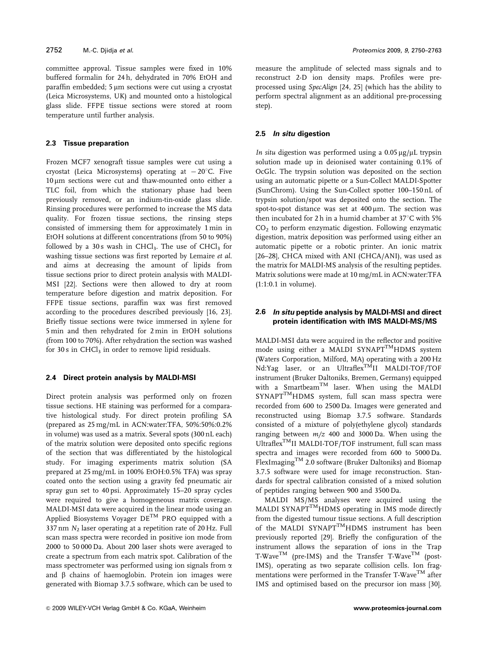committee approval. Tissue samples were fixed in 10% buffered formalin for 24 h, dehydrated in 70% EtOH and paraffin embedded;  $5 \mu m$  sections were cut using a cryostat (Leica Microsystems, UK) and mounted onto a histological glass slide. FFPE tissue sections were stored at room temperature until further analysis.

## **2.3 Tissue preparation**

Frozen MCF7 xenograft tissue samples were cut using a cryostat (Leica Microsystems) operating at  $-20^{\circ}$ C. Five  $10 \,\mu m$  sections were cut and thaw-mounted onto either a TLC foil, from which the stationary phase had been previously removed, or an indium-tin-oxide glass slide. Rinsing procedures were performed to increase the MS data quality. For frozen tissue sections, the rinsing steps consisted of immersing them for approximately 1 min in EtOH solutions at different concentrations (from 50 to 90%) followed by a 30 s wash in CHCl<sub>3</sub>. The use of CHCl<sub>3</sub> for washing tissue sections was first reported by Lemaire et al. and aims at decreasing the amount of lipids from tissue sections prior to direct protein analysis with MALDI-MSI [22]. Sections were then allowed to dry at room temperature before digestion and matrix deposition. For FFPE tissue sections, paraffin wax was first removed according to the procedures described previously [16, 23]. Briefly tissue sections were twice immersed in xylene for 5 min and then rehydrated for 2 min in EtOH solutions (from 100 to 70%). After rehydration the section was washed for  $30 s$  in CHCl<sub>3</sub> in order to remove lipid residuals.

#### **2.4 Direct protein analysis by MALDI-MSI**

Direct protein analysis was performed only on frozen tissue sections. HE staining was performed for a comparative histological study. For direct protein profiling SA (prepared as 25 mg/mL in ACN:water:TFA, 50%:50%:0.2% in volume) was used as a matrix. Several spots (300 nL each) of the matrix solution were deposited onto specific regions of the section that was differentiated by the histological study. For imaging experiments matrix solution (SA prepared at 25 mg/mL in 100% EtOH:0.5% TFA) was spray coated onto the section using a gravity fed pneumatic air spray gun set to 40 psi. Approximately 15–20 spray cycles were required to give a homogeneous matrix coverage. MALDI-MSI data were acquired in the linear mode using an Applied Biosystems Voyager DE<sup>TM</sup> PRO equipped with a 337 nm  $N_2$  laser operating at a repetition rate of 20 Hz. Full scan mass spectra were recorded in positive ion mode from 2000 to 50 000 Da. About 200 laser shots were averaged to create a spectrum from each matrix spot. Calibration of the mass spectrometer was performed using ion signals from  $\alpha$ and  $\beta$  chains of haemoglobin. Protein ion images were generated with Biomap 3.7.5 software, which can be used to

measure the amplitude of selected mass signals and to reconstruct 2-D ion density maps. Profiles were preprocessed using SpecAlign [24, 25] (which has the ability to perform spectral alignment as an additional pre-processing step).

#### **2.5 In situ digestion**

In situ digestion was performed using a  $0.05 \mu g/\mu L$  trypsin solution made up in deionised water containing 0.1% of OcGlc. The trypsin solution was deposited on the section using an automatic pipette or a Sun-Collect MALDI-Spotter (SunChrom). Using the Sun-Collect spotter 100–150 nL of trypsin solution/spot was deposited onto the section. The spot-to-spot distance was set at  $400 \,\mathrm{\upmu m}$ . The section was then incubated for 2 h in a humid chamber at 37 $\degree$ C with 5%  $CO<sub>2</sub>$  to perform enzymatic digestion. Following enzymatic digestion, matrix deposition was performed using either an automatic pipette or a robotic printer. An ionic matrix [26–28], CHCA mixed with ANI (CHCA/ANI), was used as the matrix for MALDI-MS analysis of the resulting peptides. Matrix solutions were made at 10 mg/mL in ACN:water:TFA (1:1:0.1 in volume).

## **2.6 In situ peptide analysis by MALDI-MSI and direct protein identification with IMS MALDI-MS/MS**

MALDI-MSI data were acquired in the reflector and positive mode using either a MALDI SYNAPT $^{TM}$ HDMS system (Waters Corporation, Milford, MA) operating with a 200 Hz Nd:Yag laser, or an Ultraflex<sup>TM</sup>II MALDI-TOF/TOF instrument (Bruker Daltoniks, Bremen, Germany) equipped with a Smartbeam<sup>TM</sup> laser. When using the MALDI  $SYNAPT<sup>TM</sup>HDMS$  system, full scan mass spectra were recorded from 600 to 2500 Da. Images were generated and reconstructed using Biomap 3.7.5 software. Standards consisted of a mixture of poly(ethylene glycol) standards ranging between  $m/z$  400 and 3000 Da. When using the Ultraflex<sup>TM</sup>II MALDI-TOF/TOF instrument, full scan mass spectra and images were recorded from 600 to 5000 Da.  $F$ lexImaging<sup>TM</sup> 2.0 software (Bruker Daltoniks) and Biomap 3.7.5 software were used for image reconstruction. Standards for spectral calibration consisted of a mixed solution of peptides ranging between 900 and 3500 Da.

MALDI MS/MS analyses were acquired using the MALDI SYNAPT $T^{TM}$ HDMS operating in IMS mode directly from the digested tumour tissue sections. A full description of the MALDI SYNAPT<sup>TM</sup>HDMS instrument has been previously reported [29]. Briefly the configuration of the instrument allows the separation of ions in the Trap T-Wave<sup>TM</sup> (pre-IMS) and the Transfer T-Wave<sup>TM</sup> (post-IMS), operating as two separate collision cells. Ion fragmentations were performed in the Transfer T-Wave<sup>TM</sup> after IMS and optimised based on the precursor ion mass [30].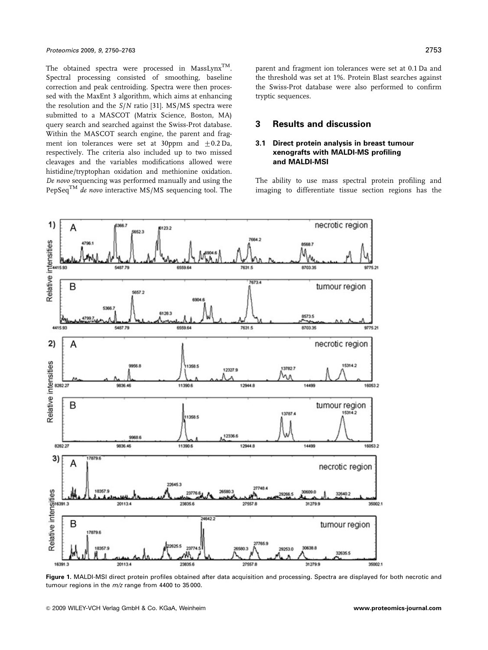The obtained spectra were processed in MassLynx<sup>TM</sup>. Spectral processing consisted of smoothing, baseline correction and peak centroiding. Spectra were then processed with the MaxEnt 3 algorithm, which aims at enhancing the resolution and the  $S/N$  ratio [31]. MS/MS spectra were submitted to a MASCOT (Matrix Science, Boston, MA) query search and searched against the Swiss-Prot database. Within the MASCOT search engine, the parent and fragment ion tolerances were set at 30ppm and  $\pm$ 0.2 Da, respectively. The criteria also included up to two missed cleavages and the variables modifications allowed were histidine/tryptophan oxidation and methionine oxidation. De novo sequencing was performed manually and using the  $PepSeq^{TM}$  de novo interactive MS/MS sequencing tool. The

parent and fragment ion tolerances were set at 0.1 Da and the threshold was set at 1%. Protein Blast searches against the Swiss-Prot database were also performed to confirm tryptic sequences.

# **3 Results and discussion**

# **3.1 Direct protein analysis in breast tumour xenografts with MALDI-MS profiling and MALDI-MSI**

The ability to use mass spectral protein profiling and imaging to differentiate tissue section regions has the



**Figure 1.** MALDI-MSI direct protein profiles obtained after data acquisition and processing. Spectra are displayed for both necrotic and tumour regions in the *m/z* range from 4400 to 35 000.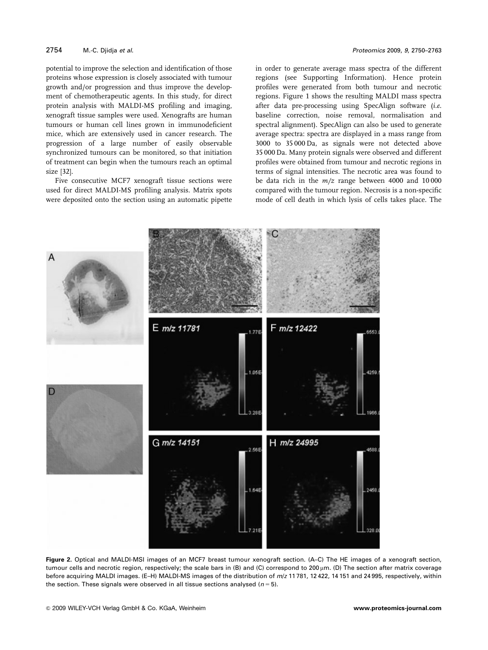# 2754 M.-C. Djidja *et al*. *Proteomics* 2009, *9*, 2750–2763

potential to improve the selection and identification of those proteins whose expression is closely associated with tumour growth and/or progression and thus improve the development of chemotherapeutic agents. In this study, for direct protein analysis with MALDI-MS profiling and imaging, xenograft tissue samples were used. Xenografts are human tumours or human cell lines grown in immunodeficient mice, which are extensively used in cancer research. The progression of a large number of easily observable synchronized tumours can be monitored, so that initiation of treatment can begin when the tumours reach an optimal size [32].

Five consecutive MCF7 xenograft tissue sections were used for direct MALDI-MS profiling analysis. Matrix spots were deposited onto the section using an automatic pipette

in order to generate average mass spectra of the different regions (see Supporting Information). Hence protein profiles were generated from both tumour and necrotic regions. Figure 1 shows the resulting MALDI mass spectra after data pre-processing using SpecAlign software (i.e. baseline correction, noise removal, normalisation and spectral alignment). SpecAlign can also be used to generate average spectra: spectra are displayed in a mass range from 3000 to 35 000 Da, as signals were not detected above 35 000 Da. Many protein signals were observed and different profiles were obtained from tumour and necrotic regions in terms of signal intensities. The necrotic area was found to be data rich in the  $m/z$  range between 4000 and 10000 compared with the tumour region. Necrosis is a non-specific mode of cell death in which lysis of cells takes place. The



**Figure 2.** Optical and MALDI-MSI images of an MCF7 breast tumour xenograft section. (A–C) The HE images of a xenograft section, tumour cells and necrotic region, respectively; the scale bars in (B) and (C) correspond to  $200 \,\mu m$ . (D) The section after matrix coverage before acquiring MALDI images. (E–H) MALDI-MS images of the distribution of *m*/*z* 11 781, 12 422, 14 151 and 24 995, respectively, within the section. These signals were observed in all tissue sections analysed  $(n = 5)$ .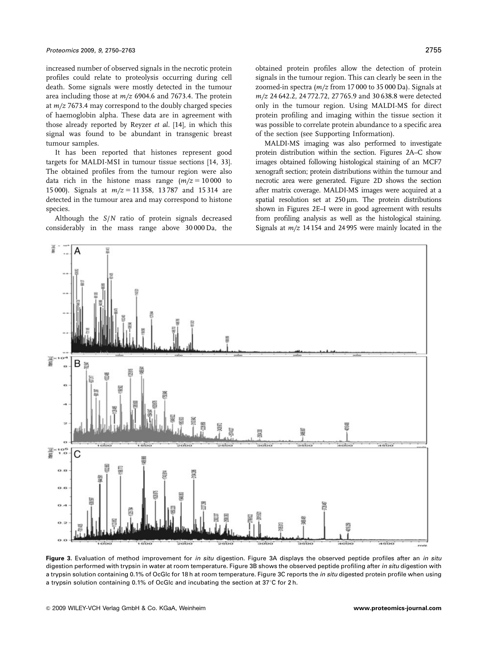increased number of observed signals in the necrotic protein profiles could relate to proteolysis occurring during cell death. Some signals were mostly detected in the tumour area including those at  $m/z$  6904.6 and 7673.4. The protein at  $m/z$  7673.4 may correspond to the doubly charged species of haemoglobin alpha. These data are in agreement with those already reported by Reyzer et al. [14], in which this signal was found to be abundant in transgenic breast tumour samples.

It has been reported that histones represent good targets for MALDI-MSI in tumour tissue sections [14, 33]. The obtained profiles from the tumour region were also data rich in the histone mass range  $(m/z = 10000)$  to 15 000). Signals at  $m/z = 11358$ , 13787 and 15314 are detected in the tumour area and may correspond to histone species.

Although the S/N ratio of protein signals decreased considerably in the mass range above 30 000 Da, the obtained protein profiles allow the detection of protein signals in the tumour region. This can clearly be seen in the zoomed-in spectra  $(m/z$  from 17 000 to 35 000 Da). Signals at m/z 24 642.2, 24 772.72, 27 765.9 and 30 638.8 were detected only in the tumour region. Using MALDI-MS for direct protein profiling and imaging within the tissue section it was possible to correlate protein abundance to a specific area of the section (see Supporting Information).

MALDI-MS imaging was also performed to investigate protein distribution within the section. Figures 2A–C show images obtained following histological staining of an MCF7 xenograft section; protein distributions within the tumour and necrotic area were generated. Figure 2D shows the section after matrix coverage. MALDI-MS images were acquired at a spatial resolution set at  $250 \,\mu m$ . The protein distributions shown in Figures 2E–I were in good agreement with results from profiling analysis as well as the histological staining. Signals at  $m/z$  14 154 and 24 995 were mainly located in the



digestion performed with trypsin in water at room temperature. Figure 3B shows the observed peptide profiling after *in situ* digestion with a trypsin solution containing 0.1% of OcGlc for 18 h at room temperature. Figure 3C reports the *in situ* digested protein profile when using a trypsin solution containing 0.1% of OcGlc and incubating the section at  $37^{\circ}$ C for 2 h.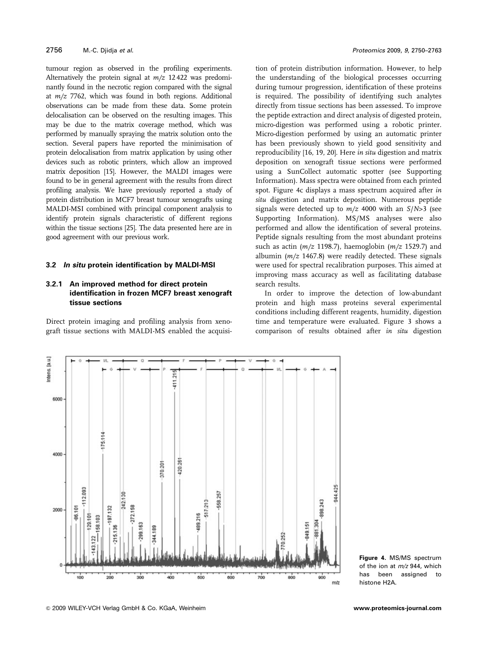tumour region as observed in the profiling experiments. Alternatively the protein signal at  $m/z$  12422 was predominantly found in the necrotic region compared with the signal at  $m/z$  7762, which was found in both regions. Additional observations can be made from these data. Some protein delocalisation can be observed on the resulting images. This may be due to the matrix coverage method, which was performed by manually spraying the matrix solution onto the section. Several papers have reported the minimisation of protein delocalisation from matrix application by using other devices such as robotic printers, which allow an improved matrix deposition [15]. However, the MALDI images were found to be in general agreement with the results from direct profiling analysis. We have previously reported a study of protein distribution in MCF7 breast tumour xenografts using MALDI-MSI combined with principal component analysis to identify protein signals characteristic of different regions within the tissue sections [25]. The data presented here are in good agreement with our previous work.

#### **3.2 In situ protein identification by MALDI-MSI**

#### **3.2.1 An improved method for direct protein identification in frozen MCF7 breast xenograft tissue sections**

Direct protein imaging and profiling analysis from xenograft tissue sections with MALDI-MS enabled the acquisition of protein distribution information. However, to help the understanding of the biological processes occurring during tumour progression, identification of these proteins is required. The possibility of identifying such analytes directly from tissue sections has been assessed. To improve the peptide extraction and direct analysis of digested protein, micro-digestion was performed using a robotic printer. Micro-digestion performed by using an automatic printer has been previously shown to yield good sensitivity and reproducibility [16, 19, 20]. Here in situ digestion and matrix deposition on xenograft tissue sections were performed using a SunCollect automatic spotter (see Supporting Information). Mass spectra were obtained from each printed spot. Figure 4c displays a mass spectrum acquired after in situ digestion and matrix deposition. Numerous peptide signals were detected up to  $m/z$  4000 with an  $S/N>3$  (see Supporting Information). MS/MS analyses were also performed and allow the identification of several proteins. Peptide signals resulting from the most abundant proteins such as actin ( $m/z$  1198.7), haemoglobin ( $m/z$  1529.7) and albumin ( $m/z$  1467.8) were readily detected. These signals were used for spectral recalibration purposes. This aimed at improving mass accuracy as well as facilitating database search results.

In order to improve the detection of low-abundant protein and high mass proteins several experimental conditions including different reagents, humidity, digestion time and temperature were evaluated. Figure 3 shows a comparison of results obtained after in situ digestion



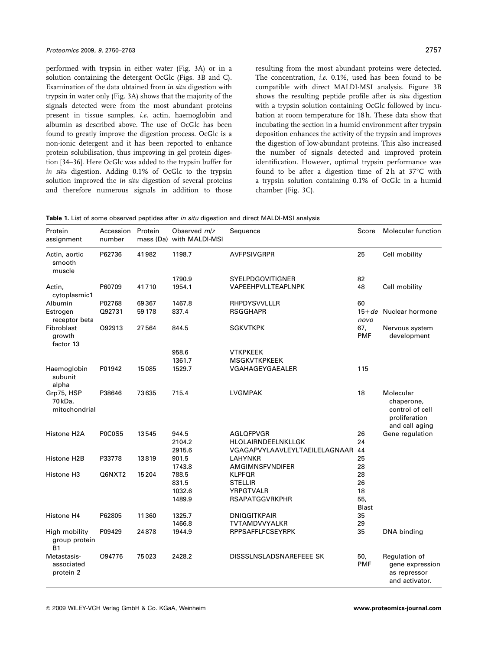performed with trypsin in either water (Fig. 3A) or in a solution containing the detergent OcGlc (Figs. 3B and C). Examination of the data obtained from in situ digestion with trypsin in water only (Fig. 3A) shows that the majority of the signals detected were from the most abundant proteins present in tissue samples, i.e. actin, haemoglobin and albumin as described above. The use of OcGlc has been found to greatly improve the digestion process. OcGlc is a non-ionic detergent and it has been reported to enhance protein solubilisation, thus improving in gel protein digestion [34–36]. Here OcGlc was added to the trypsin buffer for in situ digestion. Adding 0.1% of OcGlc to the trypsin solution improved the in situ digestion of several proteins and therefore numerous signals in addition to those resulting from the most abundant proteins were detected. The concentration, i.e. 0.1%, used has been found to be compatible with direct MALDI-MSI analysis. Figure 3B shows the resulting peptide profile after in situ digestion with a trypsin solution containing OcGlc followed by incubation at room temperature for 18 h. These data show that incubating the section in a humid environment after trypsin deposition enhances the activity of the trypsin and improves the digestion of low-abundant proteins. This also increased the number of signals detected and improved protein identification. However, optimal trypsin performance was found to be after a digestion time of 2h at  $37^{\circ}$ C with a trypsin solution containing 0.1% of OcGlc in a humid chamber (Fig. 3C).

|  |  |  |  | Table 1. List of some observed peptides after in situ digestion and direct MALDI-MSI analysis |
|--|--|--|--|-----------------------------------------------------------------------------------------------|
|--|--|--|--|-----------------------------------------------------------------------------------------------|

| Protein<br>assignment                       | Accession<br>number | Protein | Observed <i>m</i> /z<br>mass (Da) with MALDI-MSI | Sequence                         | Score               | Molecular function                                                            |
|---------------------------------------------|---------------------|---------|--------------------------------------------------|----------------------------------|---------------------|-------------------------------------------------------------------------------|
| Actin, aortic<br>smooth<br>muscle           | P62736              | 41982   | 1198.7                                           | <b>AVFPSIVGRPR</b>               | 25                  | Cell mobility                                                                 |
|                                             |                     |         | 1790.9                                           | <b>SYELPDGQVITIGNER</b>          | 82                  |                                                                               |
| Actin,<br>cytoplasmic1                      | P60709              | 41710   | 1954.1                                           | VAPEEHPVLLTEAPLNPK               | 48                  | Cell mobility                                                                 |
| Albumin                                     | P02768              | 69367   | 1467.8                                           | <b>RHPDYSVVLLLR</b>              | 60                  |                                                                               |
| Estrogen<br>receptor beta                   | Q92731              | 59 178  | 837.4                                            | <b>RSGGHAPR</b>                  | novo                | $15 + de$ Nuclear hormone                                                     |
| Fibroblast<br>growth<br>factor 13           | Q92913              | 27564   | 844.5                                            | <b>SGKVTKPK</b>                  | 67,<br><b>PMF</b>   | Nervous system<br>development                                                 |
|                                             |                     |         | 958.6                                            | <b>VTKPKEEK</b>                  |                     |                                                                               |
|                                             |                     |         | 1361.7                                           | <b>MSGKVTKPKEEK</b>              |                     |                                                                               |
| Haemoglobin<br>subunit<br>alpha             | P01942              | 15085   | 1529.7                                           | VGAHAGEYGAEALER                  | 115                 |                                                                               |
| Grp75, HSP<br>70 kDa,<br>mitochondrial      | P38646              | 73635   | 715.4                                            | LVGMPAK                          | 18                  | Molecular<br>chaperone,<br>control of cell<br>proliferation<br>and call aging |
| Histone H2A                                 | P0C0S5              | 13545   | 944.5                                            | <b>AGLOFPVGR</b>                 | 26                  | Gene regulation                                                               |
|                                             |                     |         | 2104.2                                           | HLQLAIRNDEELNKLLGK               | 24                  |                                                                               |
|                                             |                     |         | 2915.6                                           | VGAGAPVYLAAVLEYLTAEILELAGNAAR 44 |                     |                                                                               |
| Histone H2B                                 | P33778              | 13819   | 901.5                                            | <b>LAHYNKR</b>                   | 25                  |                                                                               |
|                                             |                     |         | 1743.8                                           | AMGIMNSFVNDIFER                  | 28                  |                                                                               |
| Histone H <sub>3</sub>                      | Q6NXT2              | 15204   | 788.5                                            | <b>KLPFQR</b>                    | 28                  |                                                                               |
|                                             |                     |         | 831.5                                            | <b>STELLIR</b>                   | 26                  |                                                                               |
|                                             |                     |         | 1032.6                                           | YRPGTVALR                        | 18                  |                                                                               |
|                                             |                     |         | 1489.9                                           | <b>RSAPATGGVRKPHR</b>            | 55,<br><b>Blast</b> |                                                                               |
| Histone H4                                  | P62805              | 11360   | 1325.7                                           | <b>DNIQGITKPAIR</b>              | 35                  |                                                                               |
|                                             |                     |         | 1466.8                                           | TVTAMDVVYALKR                    | 29                  |                                                                               |
| High mobility<br>group protein<br><b>B1</b> | P09429              | 24878   | 1944.9                                           | RPPSAFFLFCSEYRPK                 | 35                  | DNA binding                                                                   |
| Metastasis-<br>associated<br>protein 2      | O94776              | 75023   | 2428.2                                           | DISSSLNSLADSNAREFEEE SK          | 50,<br><b>PMF</b>   | Regulation of<br>gene expression<br>as repressor<br>and activator.            |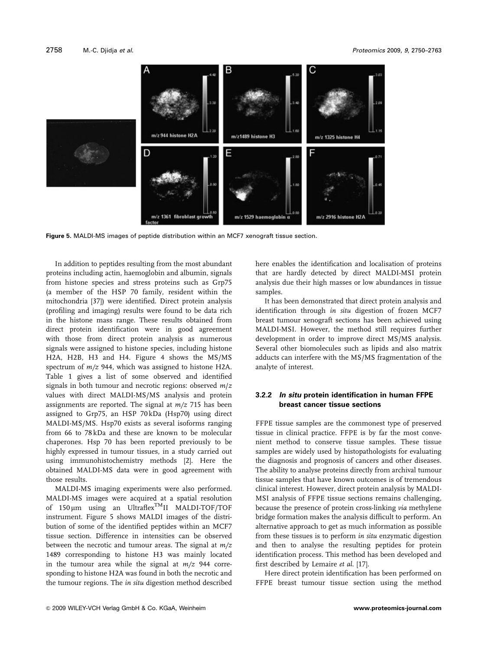

**Figure 5.** MALDI-MS images of peptide distribution within an MCF7 xenograft tissue section.

In addition to peptides resulting from the most abundant proteins including actin, haemoglobin and albumin, signals from histone species and stress proteins such as Grp75 (a member of the HSP 70 family, resident within the mitochondria [37]) were identified. Direct protein analysis (profiling and imaging) results were found to be data rich in the histone mass range. These results obtained from direct protein identification were in good agreement with those from direct protein analysis as numerous signals were assigned to histone species, including histone H2A, H2B, H3 and H4. Figure 4 shows the MS/MS spectrum of m/z 944, which was assigned to histone H2A. Table 1 gives a list of some observed and identified signals in both tumour and necrotic regions: observed  $m/z$ values with direct MALDI-MS/MS analysis and protein assignments are reported. The signal at  $m/z$  715 has been assigned to Grp75, an HSP 70 kDa (Hsp70) using direct MALDI-MS/MS. Hsp70 exists as several isoforms ranging from 66 to 78 kDa and these are known to be molecular chaperones. Hsp 70 has been reported previously to be highly expressed in tumour tissues, in a study carried out using immunohistochemistry methods [2]. Here the obtained MALDI-MS data were in good agreement with those results.

MALDI-MS imaging experiments were also performed. MALDI-MS images were acquired at a spatial resolution of  $150 \mu m$  using an Ultraflex<sup>TM</sup>II MALDI-TOF/TOF instrument. Figure 5 shows MALDI images of the distribution of some of the identified peptides within an MCF7 tissue section. Difference in intensities can be observed between the necrotic and tumour areas. The signal at  $m/z$ 1489 corresponding to histone H3 was mainly located in the tumour area while the signal at  $m/z$  944 corresponding to histone H2A was found in both the necrotic and the tumour regions. The in situ digestion method described

here enables the identification and localisation of proteins that are hardly detected by direct MALDI-MSI protein analysis due their high masses or low abundances in tissue samples.

It has been demonstrated that direct protein analysis and identification through in situ digestion of frozen MCF7 breast tumour xenograft sections has been achieved using MALDI-MSI. However, the method still requires further development in order to improve direct MS/MS analysis. Several other biomolecules such as lipids and also matrix adducts can interfere with the MS/MS fragmentation of the analyte of interest.

# **3.2.2 In situ protein identification in human FFPE breast cancer tissue sections**

FFPE tissue samples are the commonest type of preserved tissue in clinical practice. FFPE is by far the most convenient method to conserve tissue samples. These tissue samples are widely used by histopathologists for evaluating the diagnosis and prognosis of cancers and other diseases. The ability to analyse proteins directly from archival tumour tissue samples that have known outcomes is of tremendous clinical interest. However, direct protein analysis by MALDI-MSI analysis of FFPE tissue sections remains challenging, because the presence of protein cross-linking via methylene bridge formation makes the analysis difficult to perform. An alternative approach to get as much information as possible from these tissues is to perform in situ enzymatic digestion and then to analyse the resulting peptides for protein identification process. This method has been developed and first described by Lemaire et al. [17].

Here direct protein identification has been performed on FFPE breast tumour tissue section using the method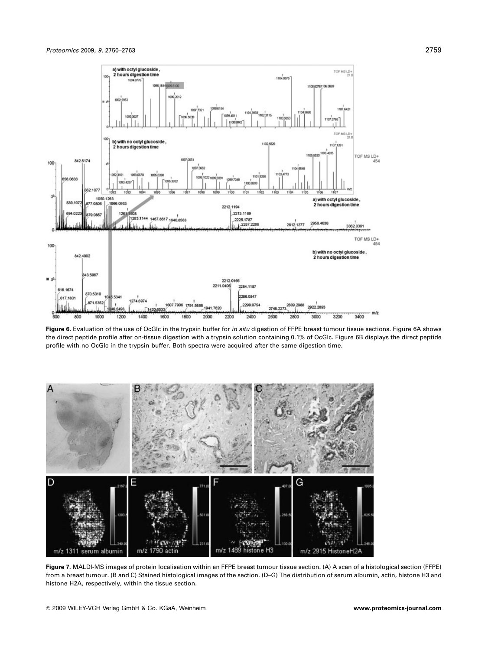

**Figure 6.** Evaluation of the use of OcGlc in the trypsin buffer for *in situ* digestion of FFPE breast tumour tissue sections. Figure 6A shows the direct peptide profile after on-tissue digestion with a trypsin solution containing 0.1% of OcGlc. Figure 6B displays the direct peptide profile with no OcGlc in the trypsin buffer. Both spectra were acquired after the same digestion time.



**Figure 7.** MALDI-MS images of protein localisation within an FFPE breast tumour tissue section. (A) A scan of a histological section (FFPE) from a breast tumour. (B and C) Stained histological images of the section. (D–G) The distribution of serum albumin, actin, histone H3 and histone H2A, respectively, within the tissue section.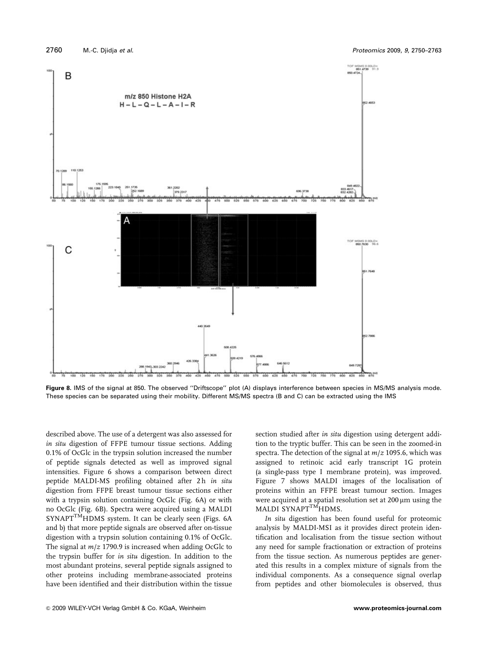

**Figure 8.** IMS of the signal at 850. The observed ''Driftscope'' plot (A) displays interference between species in MS/MS analysis mode. These species can be separated using their mobility. Different MS/MS spectra (B and C) can be extracted using the IMS

described above. The use of a detergent was also assessed for in situ digestion of FFPE tumour tissue sections. Adding 0.1% of OcGlc in the trypsin solution increased the number of peptide signals detected as well as improved signal intensities. Figure 6 shows a comparison between direct peptide MALDI-MS profiling obtained after 2h in situ digestion from FFPE breast tumour tissue sections either with a trypsin solution containing OcGlc (Fig. 6A) or with no OcGlc (Fig. 6B). Spectra were acquired using a MALDI SYNAPT<sup>TM</sup>HDMS system. It can be clearly seen (Figs. 6A and b) that more peptide signals are observed after on-tissue digestion with a trypsin solution containing 0.1% of OcGlc. The signal at  $m/z$  1790.9 is increased when adding OcGlc to the trypsin buffer for in situ digestion. In addition to the most abundant proteins, several peptide signals assigned to other proteins including membrane-associated proteins have been identified and their distribution within the tissue section studied after in situ digestion using detergent addition to the tryptic buffer. This can be seen in the zoomed-in spectra. The detection of the signal at  $m/z$  1095.6, which was assigned to retinoic acid early transcript 1G protein (a single-pass type I membrane protein), was improved. Figure 7 shows MALDI images of the localisation of proteins within an FFPE breast tumour section. Images were acquired at a spatial resolution set at 200 µm using the  $MALDI$  SYNAPT $^{TM}$ HDMS.

In situ digestion has been found useful for proteomic analysis by MALDI-MSI as it provides direct protein identification and localisation from the tissue section without any need for sample fractionation or extraction of proteins from the tissue section. As numerous peptides are generated this results in a complex mixture of signals from the individual components. As a consequence signal overlap from peptides and other biomolecules is observed, thus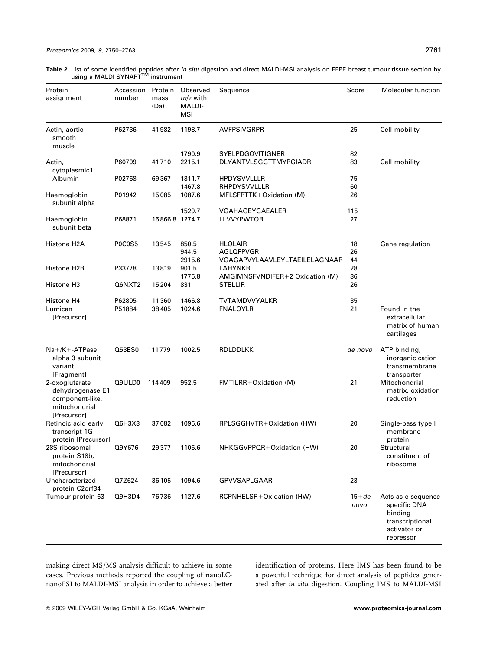|                                  | Table 2. List of some identified peptides after in situ digestion and direct MALDI-MSI analysis on FFPE breast tumour tissue section by |
|----------------------------------|-----------------------------------------------------------------------------------------------------------------------------------------|
| using a MALDI SYNAPT™ instrument |                                                                                                                                         |

| Protein<br>assignment                                                                 | Accession<br>number | Protein<br>mass<br>(Da) | Observed<br>$m/z$ with<br><b>MALDI-</b><br><b>MSI</b> | Sequence                                   | Score           | <b>Molecular function</b>                                                                     |
|---------------------------------------------------------------------------------------|---------------------|-------------------------|-------------------------------------------------------|--------------------------------------------|-----------------|-----------------------------------------------------------------------------------------------|
| Actin, aortic<br>smooth<br>muscle                                                     | P62736              | 41982                   | 1198.7                                                | <b>AVFPSIVGRPR</b>                         | 25              | Cell mobility                                                                                 |
|                                                                                       |                     |                         | 1790.9                                                | SYELPDGQVITIGNER                           | 82              |                                                                                               |
| Actin,<br>cytoplasmic1                                                                | P60709              | 41710                   | 2215.1                                                | DLYANTVLSGGTTMYPGIADR                      | 83              | Cell mobility                                                                                 |
| Albumin                                                                               | P02768              | 69367                   | 1311.7<br>1467.8                                      | HPDYSVVLLLR<br>RHPDYSVVLLLR                | 75<br>60        |                                                                                               |
| Haemoglobin<br>subunit alpha                                                          | P01942              | 15085                   | 1087.6                                                | MFLSFPTTK+Oxidation (M)                    | 26              |                                                                                               |
|                                                                                       |                     |                         | 1529.7                                                | VGAHAGEYGAEALER                            | 115             |                                                                                               |
| Haemoglobin<br>subunit beta                                                           | P68871              | 15866.8 1274.7          |                                                       | LLVVYPWTQR                                 | 27              |                                                                                               |
| Histone H2A                                                                           | P0C0S5              | 13545                   | 850.5                                                 | <b>HLOLAIR</b>                             | 18              | Gene regulation                                                                               |
|                                                                                       |                     |                         | 944.5<br>2915.6                                       | AGLQFPVGR<br>VGAGAPVYLAAVLEYLTAEILELAGNAAR | 26<br>44        |                                                                                               |
| Histone H2B                                                                           | P33778              | 13819                   | 901.5                                                 | LAHYNKR                                    | 28              |                                                                                               |
|                                                                                       |                     |                         | 1775.8                                                | AMGIMNSFVNDIFER+2 Oxidation (M)            | 36              |                                                                                               |
| Histone H <sub>3</sub>                                                                | Q6NXT2              | 15204                   | 831                                                   | <b>STELLIR</b>                             | 26              |                                                                                               |
| Histone H4<br>Lumican<br>[Precursor]                                                  | P62805<br>P51884    | 11360<br>38405          | 1466.8<br>1024.6                                      | TVTAMDVVYALKR<br>FNALQYLR                  | 35<br>21        | Found in the<br>extracellular<br>matrix of human                                              |
|                                                                                       |                     |                         |                                                       |                                            |                 | cartilages                                                                                    |
| $Na+ / K + -ATPase$<br>alpha 3 subunit<br>variant<br>[Fragment]                       | Q53ES0              | 111779                  | 1002.5                                                | RDLDDLKK                                   | de novo         | ATP binding,<br>inorganic cation<br>transmembrane<br>transporter                              |
| 2-oxoglutarate<br>dehydrogenase E1<br>component-like,<br>mitochondrial<br>[Precursor] | Q9ULD0              | 114 409                 | 952.5                                                 | FMTILRR+Oxidation (M)                      | 21              | Mitochondrial<br>matrix, oxidation<br>reduction                                               |
| Retinoic acid early<br>transcript 1G<br>protein [Precursor]                           | Q6H3X3              | 37082                   | 1095.6                                                | RPLSGGHVTR+Oxidation (HW)                  | 20              | Single-pass type I<br>membrane<br>protein                                                     |
| 28S ribosomal<br>protein S18b,<br>mitochondrial<br>[Precursor]                        | Q9Y676              | 29377                   | 1105.6                                                | NHKGGVPPQR+Oxidation (HW)                  | 20              | Structural<br>constituent of<br>ribosome                                                      |
| Uncharacterized<br>protein C2orf34                                                    | Q7Z624              | 36 105                  | 1094.6                                                | <b>GPVVSAPLGAAR</b>                        | 23              |                                                                                               |
| Tumour protein 63                                                                     | Q9H3D4              | 76736                   | 1127.6                                                | RCPNHELSR+Oxidation (HW)                   | $15+de$<br>novo | Acts as e sequence<br>specific DNA<br>binding<br>transcriptional<br>activator or<br>repressor |

making direct MS/MS analysis difficult to achieve in some cases. Previous methods reported the coupling of nanoLCnanoESI to MALDI-MSI analysis in order to achieve a better identification of proteins. Here IMS has been found to be a powerful technique for direct analysis of peptides generated after in situ digestion. Coupling IMS to MALDI-MSI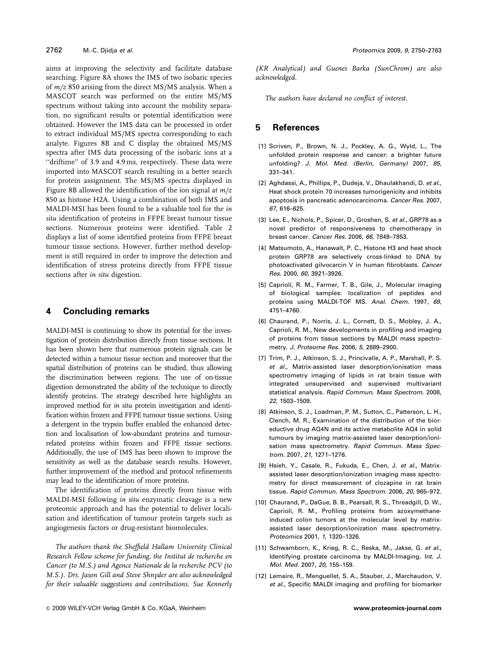aims at improving the selectivity and facilitate database searching. Figure 8A shows the IMS of two isobaric species of m/z 850 arising from the direct MS/MS analysis. When a MASCOT search was performed on the entire MS/MS spectrum without taking into account the mobility separation, no significant results or potential identification were obtained. However the IMS data can be processed in order to extract individual MS/MS spectra corresponding to each analyte. Figures 8B and C display the obtained MS/MS spectra after IMS data processing of the isobaric ions at a "driftime" of 3.9 and 4.9 ms, respectively. These data were imported into MASCOT search resulting in a better search for protein assignment. The MS/MS spectra displayed in Figure 8B allowed the identification of the ion signal at  $m/z$ 850 as histone H2A. Using a combination of both IMS and MALDI-MSI has been found to be a valuable tool for the in situ identification of proteins in FFPE breast tumour tissue sections. Numerous proteins were identified. Table 2 displays a list of some identified proteins from FFPE breast tumour tissue sections. However, further method development is still required in order to improve the detection and identification of stress proteins directly from FFPE tissue sections after *in situ* digestion.

#### **4 Concluding remarks**

MALDI-MSI is continuing to show its potential for the investigation of protein distribution directly from tissue sections. It has been shown here that numerous protein signals can be detected within a tumour tissue section and moreover that the spatial distribution of proteins can be studied, thus allowing the discrimination between regions. The use of on-tissue digestion demonstrated the ability of the technique to directly identify proteins. The strategy described here highlights an improved method for in situ protein investigation and identification within frozen and FFPE tumour tissue sections. Using a detergent in the trypsin buffer enabled the enhanced detection and localisation of low-abundant proteins and tumourrelated proteins within frozen and FFPE tissue sections. Additionally, the use of IMS has been shown to improve the sensitivity as well as the database search results. However, further improvement of the method and protocol refinements may lead to the identification of more proteins.

The identification of proteins directly from tissue with MALDI-MSI following in situ enzymatic cleavage is a new proteomic approach and has the potential to deliver localisation and identification of tumour protein targets such as angiogenesis factors or drug-resistant biomolecules.

The authors thank the Sheffield Hallam University Clinical Research Fellow scheme for funding, the Institut de recherche en Cancer (to M.S.) and Agence Nationale de la recherche PCV (to M.S.). Drs. Jason Gill and Steve Shnyder are also acknowledged for their valuable suggestions and contributions. Sue Kennerly

(KR Analytical) and Guenes Barka (SunChrom) are also acknowledged.

The authors have declared no conflict of interest.

# **5 References**

- [1] Scriven, P., Brown, N. J., Pockley, A. G., Wyld, L., The unfolded protein response and cancer: a brighter future unfolding? *J. Mol. Med. (Berlin, Germany)* 2007, *85*, 331–341.
- [2] Aghdassi, A., Phillips, P., Dudeja, V., Dhaulakhandi, D. *et al.*, Heat shock protein 70 increases tumorigenicity and inhibits apoptosis in pancreatic adenocarcinoma. *Cancer Res.* 2007, *67*, 616–625.
- [3] Lee, E., Nichols, P., Spicer, D., Groshen, S. *et al.*, GRP78 as a novel predictor of responsiveness to chemotherapy in breast cancer. *Cancer Res.* 2006, *66*, 7849–7853.
- [4] Matsumoto, A., Hanawalt, P. C., Histone H3 and heat shock protein GRP78 are selectively cross-linked to DNA by photoactivated gilvocarcin V in human fibroblasts. *Cancer Res.* 2000, *60*, 3921–3926.
- [5] Caprioli, R. M., Farmer, T. B., Gile, J., Molecular imaging of biological samples: localization of peptides and proteins using MALDI-TOF MS. *Anal. Chem.* 1997, *69*, 4751–4760.
- [6] Chaurand, P., Norris, J. L., Cornett, D. S., Mobley, J. A., Caprioli, R. M., New developments in profiling and imaging of proteins from tissue sections by MALDI mass spectrometry. *J. Proteome Res.* 2006, *5*, 2889–2900.
- [7] Trim, P. J., Atkinson, S. J., Princivalle, A. P., Marshall, P. S. *et al.*, Matrix-assisted laser desorption/ionisation mass spectrometry imaging of lipids in rat brain tissue with integrated unsupervised and supervised multivariant statistical analysis. *Rapid Commun. Mass Spectrom.* 2008, *22*, 1503–1509.
- [8] Atkinson, S. J., Loadman, P. M., Sutton, C., Patterson, L. H., Clench, M. R., Examination of the distribution of the bioreductive drug AQ4N and its active metabolite AQ4 in solid tumours by imaging matrix-assisted laser desorption/ionisation mass spectrometry. *Rapid Commun. Mass Spectrom.* 2007, *21*, 1271–1276.
- [9] Hsieh, Y., Casale, R., Fukuda, E., Chen, J. *et al.*, Matrixassisted laser desorption/ionization imaging mass spectrometry for direct measurement of clozapine in rat brain tissue. *Rapid Commun. Mass Spectrom.* 2006, *20*, 965–972.
- [10] Chaurand, P., DaGue, B. B., Pearsall, R. S., Threadgill, D. W., Caprioli, R. M., Profiling proteins from azoxymethaneinduced colon tumors at the molecular level by matrixassisted laser desorption/ionization mass spectrometry. *Proteomics* 2001, *1*, 1320–1326.
- [11] Schwamborn, K., Krieg, R. C., Reska, M., Jakse, G. *et al.*, Identifying prostate carcinoma by MALDI-Imaging. *Int. J. Mol. Med.* 2007, *20*, 155–159.
- [12] Lemaire, R., Menguellet, S. A., Stauber, J., Marchaudon, V. *et al.*, Specific MALDI imaging and profiling for biomarker